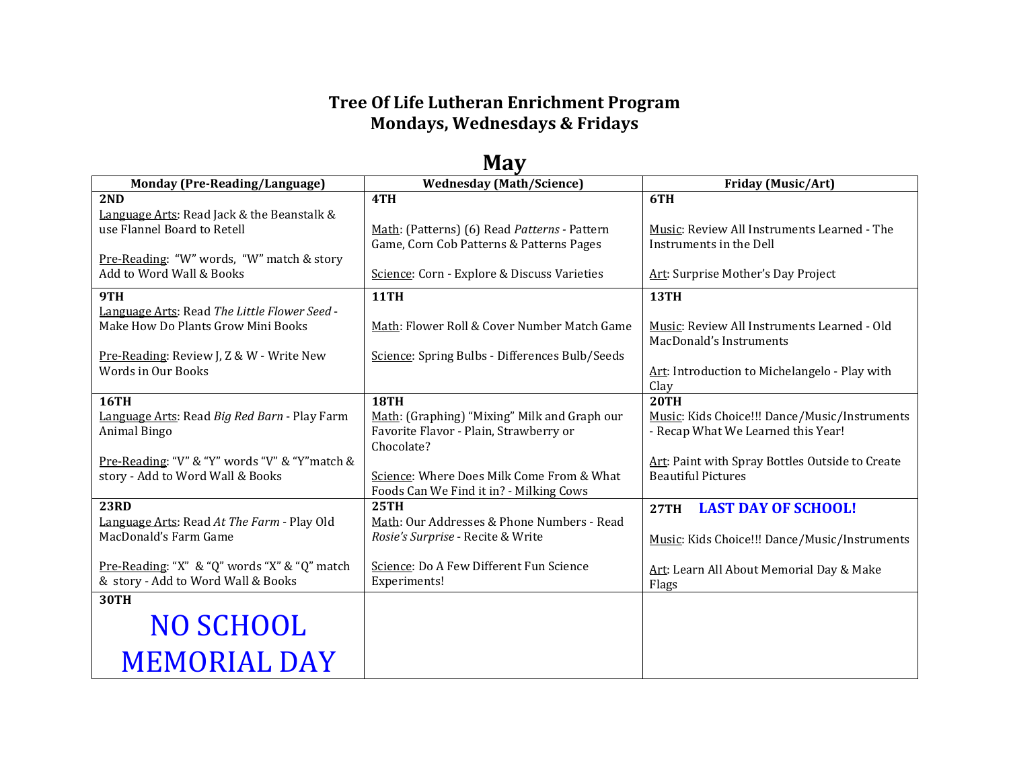## **Tree Of Life Lutheran Enrichment Program Mondays, Wednesdays & Fridays**

| ічау                                                                  |                                                                                      |                                                                              |  |
|-----------------------------------------------------------------------|--------------------------------------------------------------------------------------|------------------------------------------------------------------------------|--|
| <b>Monday (Pre-Reading/Language)</b>                                  | <b>Wednesday (Math/Science)</b>                                                      | <b>Friday (Music/Art)</b>                                                    |  |
| 2ND                                                                   | 4TH                                                                                  | 6TH                                                                          |  |
| Language Arts: Read Jack & the Beanstalk &                            |                                                                                      |                                                                              |  |
| use Flannel Board to Retell                                           | Math: (Patterns) (6) Read Patterns - Pattern                                         | <b>Music: Review All Instruments Learned - The</b>                           |  |
|                                                                       | Game, Corn Cob Patterns & Patterns Pages                                             | Instruments in the Dell                                                      |  |
| Pre-Reading: "W" words, "W" match & story<br>Add to Word Wall & Books | Science: Corn - Explore & Discuss Varieties                                          | Art: Surprise Mother's Day Project                                           |  |
|                                                                       |                                                                                      |                                                                              |  |
| 9TH                                                                   | <b>11TH</b>                                                                          | 13TH                                                                         |  |
| Language Arts: Read The Little Flower Seed -                          |                                                                                      |                                                                              |  |
| Make How Do Plants Grow Mini Books                                    | Math: Flower Roll & Cover Number Match Game                                          | Music: Review All Instruments Learned - Old<br>MacDonald's Instruments       |  |
| Pre-Reading: Review J, Z & W - Write New                              | Science: Spring Bulbs - Differences Bulb/Seeds                                       |                                                                              |  |
| Words in Our Books                                                    |                                                                                      | Art: Introduction to Michelangelo - Play with                                |  |
|                                                                       |                                                                                      | Clay                                                                         |  |
| <b>16TH</b>                                                           | <b>18TH</b>                                                                          | <b>20TH</b>                                                                  |  |
| Language Arts: Read Big Red Barn - Play Farm                          | Math: (Graphing) "Mixing" Milk and Graph our                                         | Music: Kids Choice!!! Dance/Music/Instruments                                |  |
| Animal Bingo                                                          | Favorite Flavor - Plain, Strawberry or                                               | - Recap What We Learned this Year!                                           |  |
|                                                                       | Chocolate?                                                                           |                                                                              |  |
| Pre-Reading: "V" & "Y" words "V" & "Y" match &                        |                                                                                      | Art: Paint with Spray Bottles Outside to Create<br><b>Beautiful Pictures</b> |  |
| story - Add to Word Wall & Books                                      | Science: Where Does Milk Come From & What<br>Foods Can We Find it in? - Milking Cows |                                                                              |  |
| <b>23RD</b>                                                           | <b>25TH</b>                                                                          | <b>LAST DAY OF SCHOOL!</b><br>27TH                                           |  |
| Language Arts: Read At The Farm - Play Old                            | Math: Our Addresses & Phone Numbers - Read                                           |                                                                              |  |
| MacDonald's Farm Game                                                 | Rosie's Surprise - Recite & Write                                                    | Music: Kids Choice!!! Dance/Music/Instruments                                |  |
|                                                                       |                                                                                      |                                                                              |  |
| Pre-Reading: "X" & "Q" words "X" & "Q" match                          | Science: Do A Few Different Fun Science                                              | Art: Learn All About Memorial Day & Make                                     |  |
| & story - Add to Word Wall & Books                                    | Experiments!                                                                         | Flags                                                                        |  |
| <b>30TH</b>                                                           |                                                                                      |                                                                              |  |
| <b>NO SCHOOL</b>                                                      |                                                                                      |                                                                              |  |
|                                                                       |                                                                                      |                                                                              |  |
| <b>MEMORIAL DAY</b>                                                   |                                                                                      |                                                                              |  |
|                                                                       |                                                                                      |                                                                              |  |

## **May**